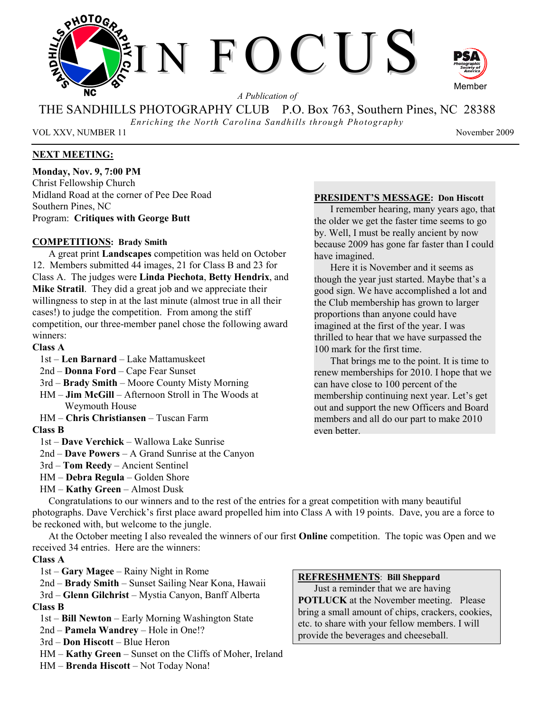

*A Publication of* 

THE SANDHILLS PHOTOGRAPHY CLUB P.O. Box 763, Southern Pines, NC 28388

*Enriching the North Carolina Sandhills through Photography* 

VOL XXV, NUMBER 11 November 2009

## **NEXT MEETING:**

**Monday, Nov. 9, 7:00 PM**  Christ Fellowship Church Midland Road at the corner of Pee Dee Road Southern Pines, NC Program: **Critiques with George Butt** 

## **COMPETITIONS: Brady Smith**

A great print **Landscapes** competition was held on October 12. Members submitted 44 images, 21 for Class B and 23 for Class A. The judges were **Linda Piechota**, **Betty Hendrix**, and **Mike Stratil**. They did a great job and we appreciate their willingness to step in at the last minute (almost true in all their cases!) to judge the competition. From among the stiff competition, our three-member panel chose the following award winners:

## **Class A**

- 1st **Len Barnard** Lake Mattamuskeet
- 2nd **Donna Ford** Cape Fear Sunset
- 3rd **Brady Smith** Moore County Misty Morning
- HM **Jim McGill** Afternoon Stroll in The Woods at Weymouth House
- HM **Chris Christiansen** Tuscan Farm

## **Class B**

- 1st **Dave Verchick** Wallowa Lake Sunrise
- 2nd **Dave Powers** A Grand Sunrise at the Canyon
- 3rd **Tom Reedy** Ancient Sentinel
- HM **Debra Regula** Golden Shore
- HM **Kathy Green** Almost Dusk

# **PRESIDENT'S MESSAGE: Don Hiscott**

I remember hearing, many years ago, that the older we get the faster time seems to go by. Well, I must be really ancient by now because 2009 has gone far faster than I could have imagined.

Here it is November and it seems as though the year just started. Maybe that's a good sign. We have accomplished a lot and the Club membership has grown to larger proportions than anyone could have imagined at the first of the year. I was thrilled to hear that we have surpassed the 100 mark for the first time.

That brings me to the point. It is time to renew memberships for 2010. I hope that we can have close to 100 percent of the membership continuing next year. Let's get out and support the new Officers and Board members and all do our part to make 2010 even better.

Congratulations to our winners and to the rest of the entries for a great competition with many beautiful photographs. Dave Verchick's first place award propelled him into Class A with 19 points. Dave, you are a force to be reckoned with, but welcome to the jungle.

At the October meeting I also revealed the winners of our first **Online** competition. The topic was Open and we received 34 entries. Here are the winners:

## **Class A**

- 1st **Gary Magee** Rainy Night in Rome
- 2nd **Brady Smith** Sunset Sailing Near Kona, Hawaii
- 3rd **Glenn Gilchrist** Mystia Canyon, Banff Alberta **Class B**
- 1st **Bill Newton** Early Morning Washington State
- 2nd **Pamela Wandrey** Hole in One!?
- 3rd **Don Hiscott** Blue Heron
- HM **Kathy Green** Sunset on the Cliffs of Moher, Ireland
- HM **Brenda Hiscott** Not Today Nona!

#### **REFRESHMENTS**: **Bill Sheppard**

Just a reminder that we are having **POTLUCK** at the November meeting. Please bring a small amount of chips, crackers, cookies, etc. to share with your fellow members. I will provide the beverages and cheeseball.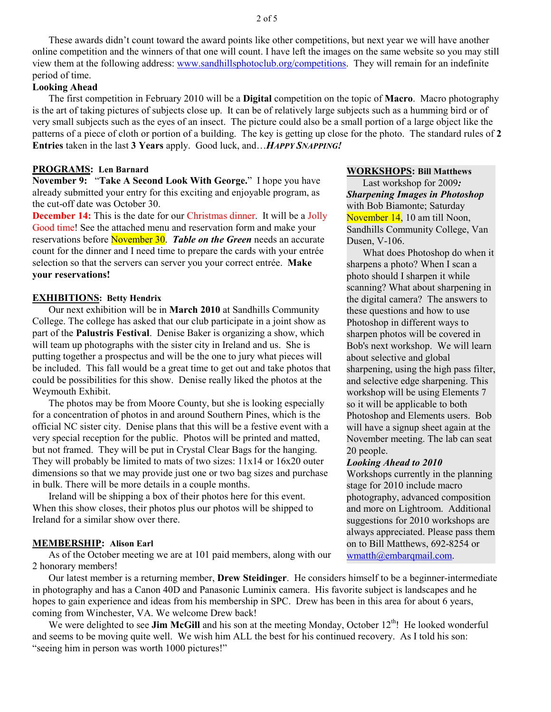These awards didn't count toward the award points like other competitions, but next year we will have another online competition and the winners of that one will count. I have left the images on the same website so you may still view them at the following address: www.sandhillsphotoclub.org/competitions. They will remain for an indefinite period of time.

## **Looking Ahead**

The first competition in February 2010 will be a **Digital** competition on the topic of **Macro**. Macro photography is the art of taking pictures of subjects close up. It can be of relatively large subjects such as a humming bird or of very small subjects such as the eyes of an insect. The picture could also be a small portion of a large object like the patterns of a piece of cloth or portion of a building. The key is getting up close for the photo. The standard rules of **2 Entries** taken in the last **3 Years** apply. Good luck, and…*HAPPY SNAPPING!* 

#### **PROGRAMS: Len Barnard**

**November 9:** "**Take A Second Look With George.**" I hope you have already submitted your entry for this exciting and enjoyable program, as the cut-off date was October 30.

**December 14:** This is the date for our Christmas dinner. It will be a Jolly Good time! See the attached menu and reservation form and make your reservations before November 30. *Table on the Green* needs an accurate count for the dinner and I need time to prepare the cards with your entrée selection so that the servers can server you your correct entrée. **Make your reservations!**

#### **EXHIBITIONS: Betty Hendrix**

Our next exhibition will be in **March 2010** at Sandhills Community College. The college has asked that our club participate in a joint show as part of the **Palustris Festival**. Denise Baker is organizing a show, which will team up photographs with the sister city in Ireland and us. She is putting together a prospectus and will be the one to jury what pieces will be included. This fall would be a great time to get out and take photos that could be possibilities for this show. Denise really liked the photos at the Weymouth Exhibit.

The photos may be from Moore County, but she is looking especially for a concentration of photos in and around Southern Pines, which is the official NC sister city. Denise plans that this will be a festive event with a very special reception for the public. Photos will be printed and matted, but not framed. They will be put in Crystal Clear Bags for the hanging. They will probably be limited to mats of two sizes: 11x14 or 16x20 outer dimensions so that we may provide just one or two bag sizes and purchase in bulk. There will be more details in a couple months.

Ireland will be shipping a box of their photos here for this event. When this show closes, their photos plus our photos will be shipped to Ireland for a similar show over there.

#### **MEMBERSHIP: Alison Earl**

As of the October meeting we are at 101 paid members, along with our 2 honorary members!

Our latest member is a returning member, **Drew Steidinger**. He considers himself to be a beginner-intermediate in photography and has a Canon 40D and Panasonic Luminix camera. His favorite subject is landscapes and he hopes to gain experience and ideas from his membership in SPC. Drew has been in this area for about 6 years, coming from Winchester, VA. We welcome Drew back!

We were delighted to see **Jim McGill** and his son at the meeting Monday, October 12<sup>th</sup>! He looked wonderful and seems to be moving quite well. We wish him ALL the best for his continued recovery. As I told his son: "seeing him in person was worth 1000 pictures!"

#### **WORKSHOPS: Bill Matthews**

Last workshop for 2009*: Sharpening Images in Photoshop* with Bob Biamonte; Saturday November 14, 10 am till Noon, Sandhills Community College, Van Dusen, V-106.

What does Photoshop do when it sharpens a photo? When I scan a photo should I sharpen it while scanning? What about sharpening in the digital camera? The answers to these questions and how to use Photoshop in different ways to sharpen photos will be covered in Bob's next workshop. We will learn about selective and global sharpening, using the high pass filter, and selective edge sharpening. This workshop will be using Elements 7 so it will be applicable to both Photoshop and Elements users. Bob will have a signup sheet again at the November meeting. The lab can seat 20 people.

#### *Looking Ahead to 2010*

Workshops currently in the planning stage for 2010 include macro photography, advanced composition and more on Lightroom. Additional suggestions for 2010 workshops are always appreciated. Please pass them on to Bill Matthews, 692-8254 or wmatth@embarqmail.com.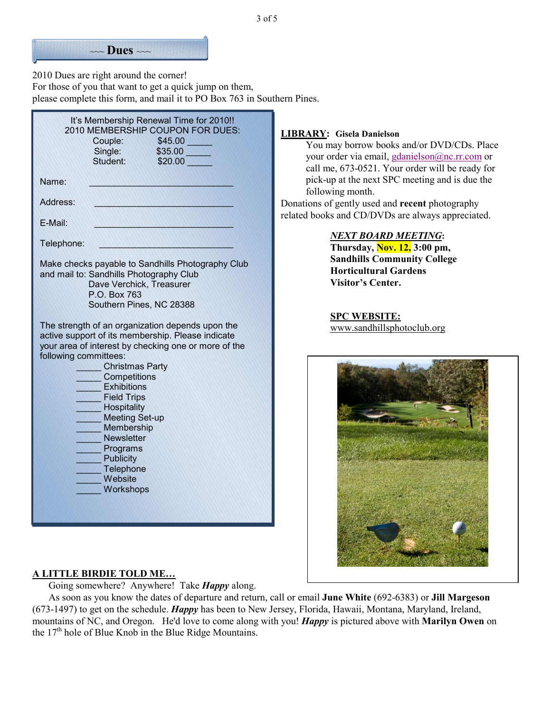

2010 Dues are right around the corner! For those of you that want to get a quick jump on them, please complete this form, and mail it to PO Box 763 in Southern Pines.

| It's Membership Renewal Time for 2010!!<br>2010 MEMBERSHIP COUPON FOR DUES:<br>Couple:<br>\$45.00<br>Single:<br>\$35.00<br>Sfudent:<br>\$20.00                                                                                                                                                                                                                                                                               |
|------------------------------------------------------------------------------------------------------------------------------------------------------------------------------------------------------------------------------------------------------------------------------------------------------------------------------------------------------------------------------------------------------------------------------|
| Name:                                                                                                                                                                                                                                                                                                                                                                                                                        |
| Address:                                                                                                                                                                                                                                                                                                                                                                                                                     |
| F-Mail:                                                                                                                                                                                                                                                                                                                                                                                                                      |
| Telephone:                                                                                                                                                                                                                                                                                                                                                                                                                   |
| Make checks payable to Sandhills Photography Club<br>and mail to: Sandhills Photography Club<br>Dave Verchick, Treasurer<br>P.O. Box 763<br>Southern Pines, NC 28388                                                                                                                                                                                                                                                         |
| The strength of an organization depends upon the<br>active support of its membership. Please indicate<br>your area of interest by checking one or more of the<br>following committees:<br><b>Christmas Party</b><br>Competitions<br><b>Exhibitions</b><br><b>Field Trips</b><br>Hospitality<br><b>Meeting Set-up</b><br>Membership<br><b>Newsletter</b><br>Programs<br><b>Publicity</b><br>Telephone<br>Website<br>Workshops |

#### **LIBRARY: Gisela Danielson**

You may borrow books and/or DVD/CDs. Place your order via email, gdanielson@nc.rr.com or call me, 673-0521. Your order will be ready for pick-up at the next SPC meeting and is due the following month.

Donations of gently used and **recent** photography related books and CD/DVDs are always appreciated.

#### *NEXT BOARD MEETING***:**

**Thursday, Nov. 12, 3:00 pm, Sandhills Community College Horticultural Gardens Visitor's Center.** 

**SPC WEBSITE:** www.sandhillsphotoclub.org



## **A LITTLE BIRDIE TOLD ME…**

Going somewhere? Anywhere! Take *Happy* along.

As soon as you know the dates of departure and return, call or email **June White** (692-6383) or **Jill Margeson** (673-1497) to get on the schedule. *Happy* has been to New Jersey, Florida, Hawaii, Montana, Maryland, Ireland, mountains of NC, and Oregon. He'd love to come along with you! *Happy* is pictured above with **Marilyn Owen** on the  $17<sup>th</sup>$  hole of Blue Knob in the Blue Ridge Mountains.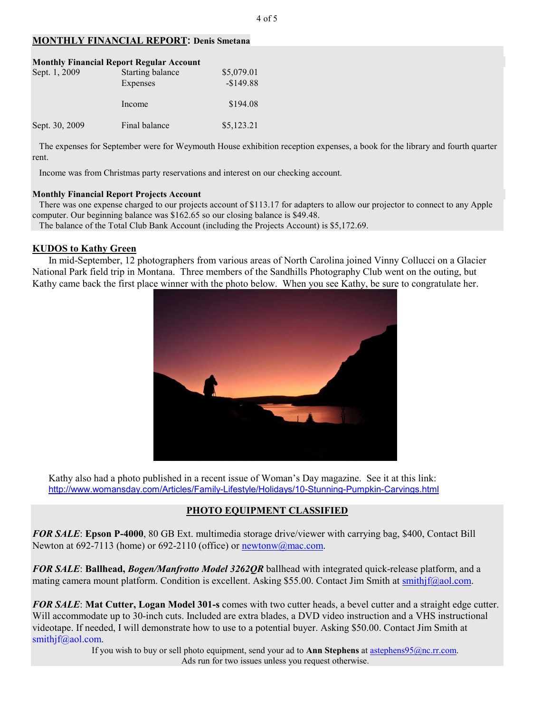## **MONTHLY FINANCIAL REPORT: Denis Smetana**

| <b>Monthly Financial Report Regular Account</b> |                                     |                          |  |
|-------------------------------------------------|-------------------------------------|--------------------------|--|
| Sept. 1, 2009                                   | <b>Starting balance</b><br>Expenses | \$5,079.01<br>$-$149.88$ |  |
|                                                 | Income                              | \$194.08                 |  |
| Sept. 30, 2009                                  | Final balance                       | \$5,123.21               |  |

 The expenses for September were for Weymouth House exhibition reception expenses, a book for the library and fourth quarter rent.

Income was from Christmas party reservations and interest on our checking account.

#### **Monthly Financial Report Projects Account**

 There was one expense charged to our projects account of \$113.17 for adapters to allow our projector to connect to any Apple computer. Our beginning balance was \$162.65 so our closing balance is \$49.48. The balance of the Total Club Bank Account (including the Projects Account) is \$5,172.69.

## **KUDOS to Kathy Green**

In mid-September, 12 photographers from various areas of North Carolina joined Vinny Collucci on a Glacier National Park field trip in Montana. Three members of the Sandhills Photography Club went on the outing, but Kathy came back the first place winner with the photo below. When you see Kathy, be sure to congratulate her.



Kathy also had a photo published in a recent issue of Woman's Day magazine. See it at this link: http://www.womansday.com/Articles/Family-Lifestyle/Holidays/10-Stunning-Pumpkin-Carvings.html

# **PHOTO EQUIPMENT CLASSIFIED**

*FOR SALE*: **Epson P-4000**, 80 GB Ext. multimedia storage drive/viewer with carrying bag, \$400, Contact Bill Newton at 692-7113 (home) or 692-2110 (office) or newtonw@mac.com.

*FOR SALE*: **Ballhead,** *Bogen/Manfrotto Model 3262QR* ballhead with integrated quick-release platform, and a mating camera mount platform. Condition is excellent. Asking \$55.00. Contact Jim Smith at smithjf@aol.com.

*FOR SALE*: **Mat Cutter, Logan Model 301-s** comes with two cutter heads, a bevel cutter and a straight edge cutter. Will accommodate up to 30-inch cuts. Included are extra blades, a DVD video instruction and a VHS instructional videotape. If needed, I will demonstrate how to use to a potential buyer. Asking \$50.00. Contact Jim Smith at smithjf@aol.com.

If you wish to buy or sell photo equipment, send your ad to **Ann Stephens** at astephens95@nc.rr.com. Ads run for two issues unless you request otherwise.